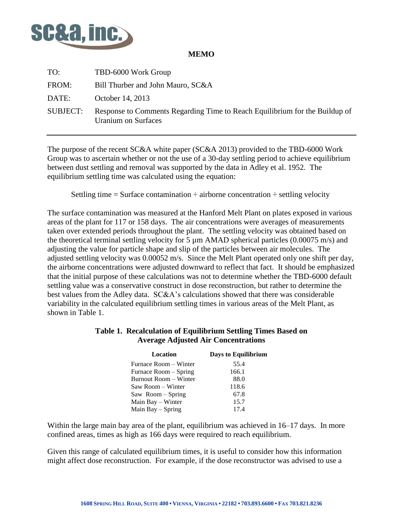

## **MEMO**

| TO:             | TBD-6000 Work Group                                                                                |
|-----------------|----------------------------------------------------------------------------------------------------|
| FROM:           | Bill Thurber and John Mauro, SC&A                                                                  |
| DATE:           | October 14, 2013                                                                                   |
| <b>SUBJECT:</b> | Response to Comments Regarding Time to Reach Equilibrium for the Buildup of<br>Uranium on Surfaces |

The purpose of the recent SC&A white paper (SC&A 2013) provided to the TBD-6000 Work Group was to ascertain whether or not the use of a 30-day settling period to achieve equilibrium between dust settling and removal was supported by the data in Adley et al. 1952. The equilibrium settling time was calculated using the equation:

Settling time  $=$  Surface contamination  $\div$  airborne concentration  $\div$  settling velocity

The surface contamination was measured at the Hanford Melt Plant on plates exposed in various areas of the plant for 117 or 158 days. The air concentrations were averages of measurements taken over extended periods throughout the plant. The settling velocity was obtained based on the theoretical terminal settling velocity for 5  $\mu$ m AMAD spherical particles (0.00075 m/s) and adjusting the value for particle shape and slip of the particles between air molecules. The adjusted settling velocity was 0.00052 m/s. Since the Melt Plant operated only one shift per day, the airborne concentrations were adjusted downward to reflect that fact. It should be emphasized that the initial purpose of these calculations was not to determine whether the TBD-6000 default settling value was a conservative construct in dose reconstruction, but rather to determine the best values from the Adley data. SC&A's calculations showed that there was considerable variability in the calculated equilibrium settling times in various areas of the Melt Plant, as shown in Table 1.

## **Table 1. Recalculation of Equilibrium Settling Times Based on Average Adjusted Air Concentrations**

| Location              | <b>Days to Equilibrium</b> |
|-----------------------|----------------------------|
| Furnace Room – Winter | 55.4                       |
| Furnace Room – Spring | 166.1                      |
| Burnout Room – Winter | 88.0                       |
| Saw Room – Winter     | 118.6                      |
| Saw Room – Spring     | 67.8                       |
| Main Bay - Winter     | 15.7                       |
| Main Bay – Spring     | 17.4                       |

Within the large main bay area of the plant, equilibrium was achieved in 16–17 days. In more confined areas, times as high as 166 days were required to reach equilibrium.

Given this range of calculated equilibrium times, it is useful to consider how this information might affect dose reconstruction. For example, if the dose reconstructor was advised to use a